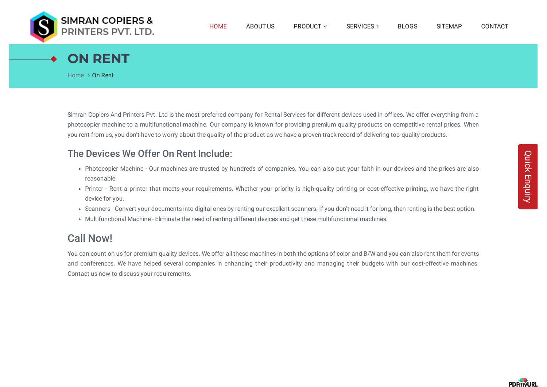

# **ON RENT**

[Home](https://www.simrancopiers.co.in/index.htm)  $>$  On Rent

Simran Copiers And Printers Pvt. Ltd is the most preferred company for Rental Services for different devices used in offices. We offer everything from a photocopier machine to a multifunctional machine. Our company is known for providing premium quality products on competitive rental prices. When you rent from us, you don't have to worry about the quality of the product as we have a proven track record of delivering top-quality products.

#### The Devices We Offer On Rent Include:

- Photocopier Machine Our machines are trusted by hundreds of companies. You can also put your faith in our devices and the prices are also reasonable.
- Printer Rent a printer that meets your requirements. Whether your priority is high-quality printing or cost-effective printing, we have the right device for you.
- Scanners Convert your documents into digital ones by renting our excellent scanners. If you don't need it for long, then renting is the best option.
- Multifunctional Machine Eliminate the need of renting different devices and get these multifunctional machines.

## Call Now!

You can count on us for premium quality devices. We offer all these machines in both the options of color and B/W and you can also rent them for events and conferences. We have helped several companies in enhancing their productivity and managing their budgets with our cost-effective machines. Contact us now to discuss your requirements.